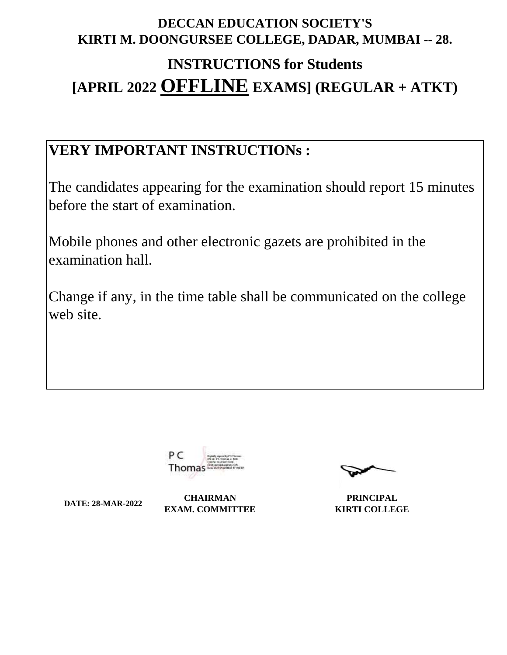# **DECCAN EDUCATION SOCIETY'S KIRTI M. DOONGURSEE COLLEGE, DADAR, MUMBAI -- 28.**

# **INSTRUCTIONS for Students [APRIL 2022 OFFLINE EXAMS] (REGULAR + ATKT)**

# **VERY IMPORTANT INSTRUCTIONs :**

The candidates appearing for the examination should report 15 minutes before the start of examination.

Mobile phones and other electronic gazets are prohibited in the examination hall.

Change if any, in the time table shall be communicated on the college web site.



**DATE: 28-MAR-2022 CHAIRMAN EXAM. COMMITTEE**

**PRINCIPAL KIRTI COLLEGE**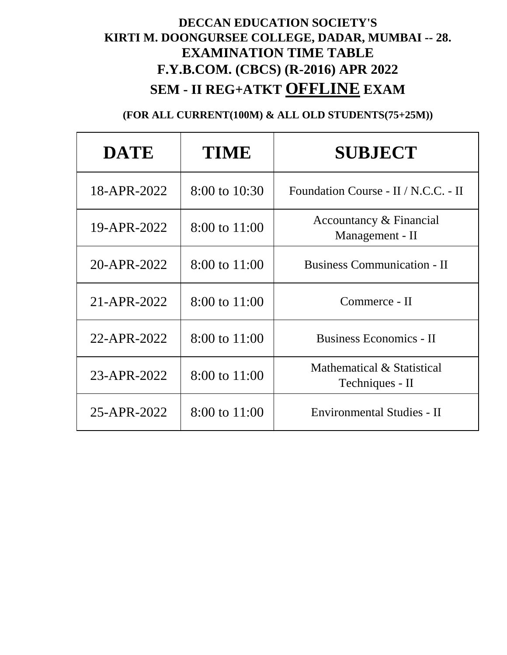# **DECCAN EDUCATION SOCIETY'S KIRTI M. DOONGURSEE COLLEGE, DADAR, MUMBAI -- 28. EXAMINATION TIME TABLE F.Y.B.COM. (CBCS) (R-2016) APR 2022 SEM - II REG+ATKT OFFLINE EXAM**

| <b>DATE</b> | <b>TIME</b>              | <b>SUBJECT</b>                                |
|-------------|--------------------------|-----------------------------------------------|
| 18-APR-2022 | $8:00 \text{ to } 10:30$ | Foundation Course - II / N.C.C. - II          |
| 19-APR-2022 | $8:00$ to $11:00$        | Accountancy & Financial<br>Management - II    |
| 20-APR-2022 | 8:00 to 11:00            | <b>Business Communication - II</b>            |
| 21-APR-2022 | 8:00 to 11:00            | Commerce - II                                 |
| 22-APR-2022 | 8:00 to 11:00            | <b>Business Economics - II</b>                |
| 23-APR-2022 | 8:00 to 11:00            | Mathematical & Statistical<br>Techniques - II |
| 25-APR-2022 | 8:00 to 11:00            | Environmental Studies - II                    |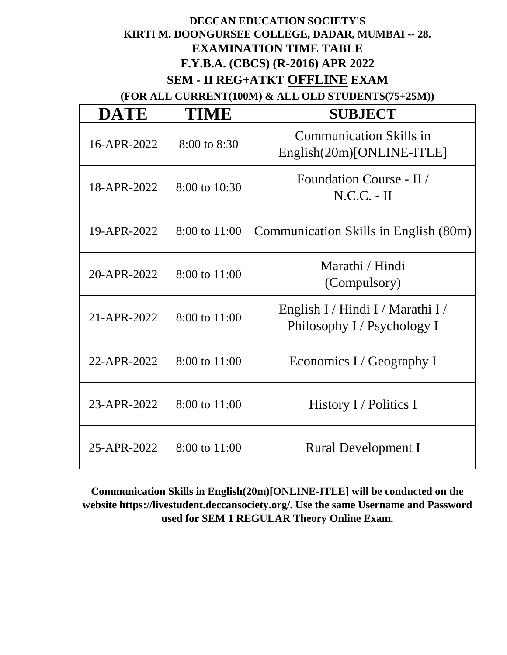### **DECCAN EDUCATION SOCIETY'S KIRTI M. DOONGURSEE COLLEGE, DADAR, MUMBAI -- 28. EXAMINATION TIME TABLE F.Y.B.A. (CBCS) (R-2016) APR 2022 SEM - II REG+ATKT OFFLINE EXAM**

**(FOR ALL CURRENT(100M) & ALL OLD STUDENTS(75+25M))**

| <b>DATE</b> | TIME             | <b>SUBJECT</b>                                                   |
|-------------|------------------|------------------------------------------------------------------|
| 16-APR-2022 | $8:00$ to $8:30$ | <b>Communication Skills in</b><br>English(20m)[ONLINE-ITLE]      |
| 18-APR-2022 | 8:00 to 10:30    | Foundation Course - II /<br>$N.C.C. - II$                        |
| 19-APR-2022 | 8:00 to 11:00    | Communication Skills in English (80m)                            |
| 20-APR-2022 | 8:00 to 11:00    | Marathi / Hindi<br>(Compulsory)                                  |
| 21-APR-2022 | 8:00 to 11:00    | English I / Hindi I / Marathi I /<br>Philosophy I / Psychology I |
| 22-APR-2022 | 8:00 to 11:00    | Economics I / Geography I                                        |
| 23-APR-2022 | 8:00 to 11:00    | History I / Politics I                                           |
| 25-APR-2022 | 8:00 to 11:00    | <b>Rural Development I</b>                                       |

**Communication Skills in English(20m)[ONLINE-ITLE] will be conducted on the website https://livestudent.deccansociety.org/. Use the same Username and Password used for SEM 1 REGULAR Theory Online Exam.**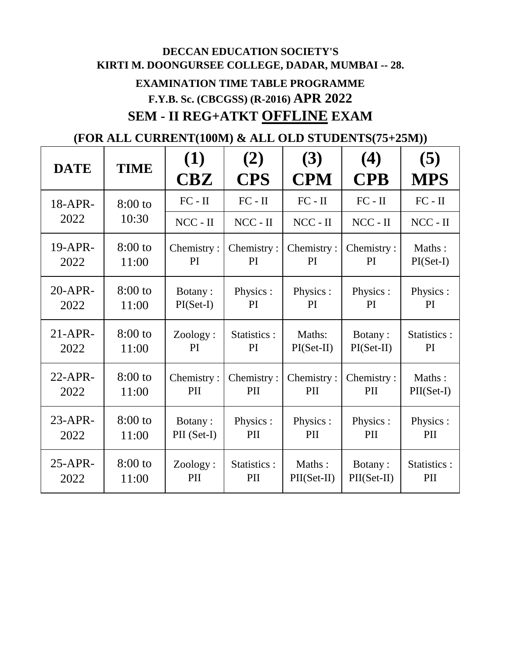# **DECCAN EDUCATION SOCIETY'S KIRTI M. DOONGURSEE COLLEGE, DADAR, MUMBAI -- 28. EXAMINATION TIME TABLE PROGRAMME F.Y.B. Sc. (CBCGSS) (R-2016) APR 2022 SEM - II REG+ATKT OFFLINE EXAM**

| <b>DATE</b> | <b>TIME</b> | (1)<br>CBZ  | (2)<br><b>CPS</b> | (3)<br><b>CPM</b> | (4)<br><b>CPB</b> | (5)<br><b>MPS</b> |
|-------------|-------------|-------------|-------------------|-------------------|-------------------|-------------------|
| 18-APR-     | $8:00$ to   | $FC - II$   | $FC - II$         | $FC - II$         | $FC - II$         | $FC - II$         |
| 2022        | 10:30       | $NCC - II$  | $NCC - II$        | $NCC - II$        | $NCC - II$        | $NCC - II$        |
| 19-APR-     | $8:00$ to   | Chemistry:  | Chemistry:        | Chemistry:        | Chemistry:        | Maths:            |
| 2022        | 11:00       | PI          | PI                | <b>PI</b>         | <b>PI</b>         | $PI(Set-I)$       |
| $20$ -APR-  | $8:00$ to   | Botany:     | Physics :         | Physics:          | Physics :         | Physics:          |
| 2022        | 11:00       | $PI(Set-I)$ | PI                | PI                | PI                | PI                |
| $21$ -APR-  | $8:00$ to   | Zoology:    | Statistics :      | Maths:            | Botany:           | Statistics :      |
| 2022        | 11:00       | PI          | PI                | $PI(Set-II)$      | $PI(Set-II)$      | PI                |
| $22$ -APR-  | $8:00$ to   | Chemistry:  | Chemistry:        | Chemistry:        | Chemistry:        | Maths:            |
| 2022        | 11:00       | PII         | PII               | PII               | PII               | $PII(Set-I)$      |
| $23-APR$ -  | $8:00$ to   | Botany:     | Physics:          | Physics:          | Physics:          | Physics :         |
| 2022        | 11:00       | PII (Set-I) | PII               | PII               | PII               | PII               |
| $25-APR$ -  | $8:00$ to   | Zoology:    | Statistics :      | Maths:            | Botany:           | Statistics :      |
| 2022        | 11:00       | PII         | PII               | $PII(Set-II)$     | $PII(Set-II)$     | PII               |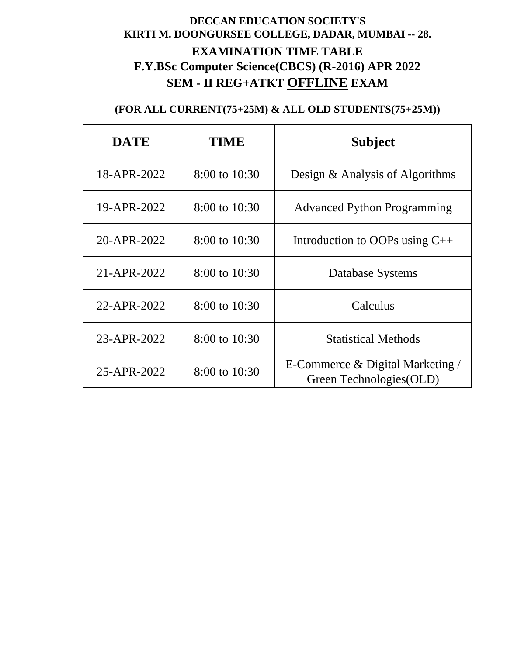# **DECCAN EDUCATION SOCIETY'S KIRTI M. DOONGURSEE COLLEGE, DADAR, MUMBAI -- 28. EXAMINATION TIME TABLE F.Y.BSc Computer Science(CBCS) (R-2016) APR 2022 SEM - II REG+ATKT OFFLINE EXAM**

| <b>DATE</b> | TIME              | <b>Subject</b>                                                  |
|-------------|-------------------|-----------------------------------------------------------------|
| 18-APR-2022 | $8:00$ to $10:30$ | Design & Analysis of Algorithms                                 |
| 19-APR-2022 | 8:00 to 10:30     | <b>Advanced Python Programming</b>                              |
| 20-APR-2022 | 8:00 to 10:30     | Introduction to OOPs using $C++$                                |
| 21-APR-2022 | $8:00$ to $10:30$ | Database Systems                                                |
| 22-APR-2022 | 8:00 to 10:30     | Calculus                                                        |
| 23-APR-2022 | $8:00$ to $10:30$ | <b>Statistical Methods</b>                                      |
| 25-APR-2022 | 8:00 to 10:30     | E-Commerce $\&$ Digital Marketing /<br>Green Technologies (OLD) |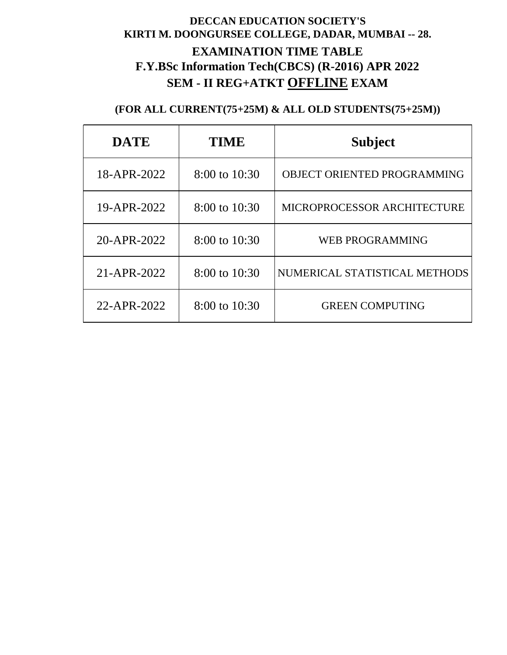# **DECCAN EDUCATION SOCIETY'S KIRTI M. DOONGURSEE COLLEGE, DADAR, MUMBAI -- 28. EXAMINATION TIME TABLE F.Y.BSc Information Tech(CBCS) (R-2016) APR 2022 SEM - II REG+ATKT OFFLINE EXAM**

| <b>DATE</b> | TIME              | <b>Subject</b>                     |
|-------------|-------------------|------------------------------------|
| 18-APR-2022 | $8:00$ to $10:30$ | <b>OBJECT ORIENTED PROGRAMMING</b> |
| 19-APR-2022 | 8:00 to 10:30     | MICROPROCESSOR ARCHITECTURE        |
| 20-APR-2022 | 8:00 to 10:30     | <b>WEB PROGRAMMING</b>             |
| 21-APR-2022 | $8:00$ to $10:30$ | NUMERICAL STATISTICAL METHODS      |
| 22-APR-2022 | $8:00$ to $10:30$ | <b>GREEN COMPUTING</b>             |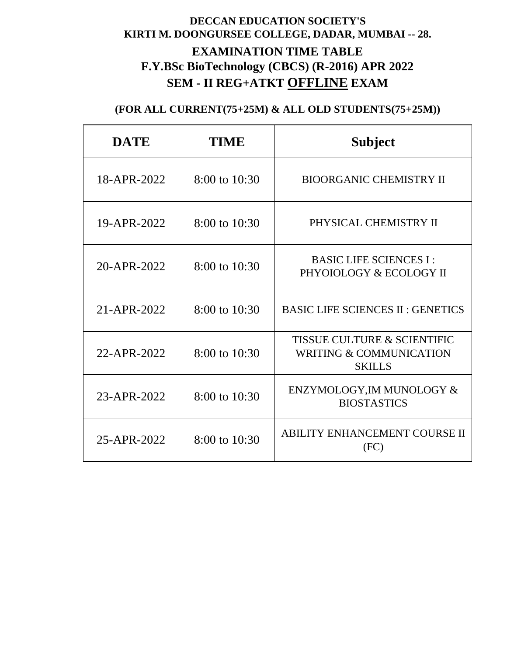# **DECCAN EDUCATION SOCIETY'S KIRTI M. DOONGURSEE COLLEGE, DADAR, MUMBAI -- 28. EXAMINATION TIME TABLE F.Y.BSc BioTechnology (CBCS) (R-2016) APR 2022 SEM - II REG+ATKT OFFLINE EXAM**

| <b>DATE</b> | <b>TIME</b>       | <b>Subject</b>                                                                     |
|-------------|-------------------|------------------------------------------------------------------------------------|
| 18-APR-2022 | $8:00$ to $10:30$ | <b>BIOORGANIC CHEMISTRY II</b>                                                     |
| 19-APR-2022 | 8:00 to 10:30     | PHYSICAL CHEMISTRY II                                                              |
| 20-APR-2022 | 8:00 to 10:30     | <b>BASIC LIFE SCIENCES I:</b><br>PHYOIOLOGY & ECOLOGY II                           |
| 21-APR-2022 | 8:00 to 10:30     | <b>BASIC LIFE SCIENCES II : GENETICS</b>                                           |
| 22-APR-2022 | $8:00$ to $10:30$ | TISSUE CULTURE & SCIENTIFIC<br><b>WRITING &amp; COMMUNICATION</b><br><b>SKILLS</b> |
| 23-APR-2022 | 8:00 to 10:30     | ENZYMOLOGY, IM MUNOLOGY &<br><b>BIOSTASTICS</b>                                    |
| 25-APR-2022 | 8:00 to 10:30     | <b>ABILITY ENHANCEMENT COURSE II</b><br>(FC)                                       |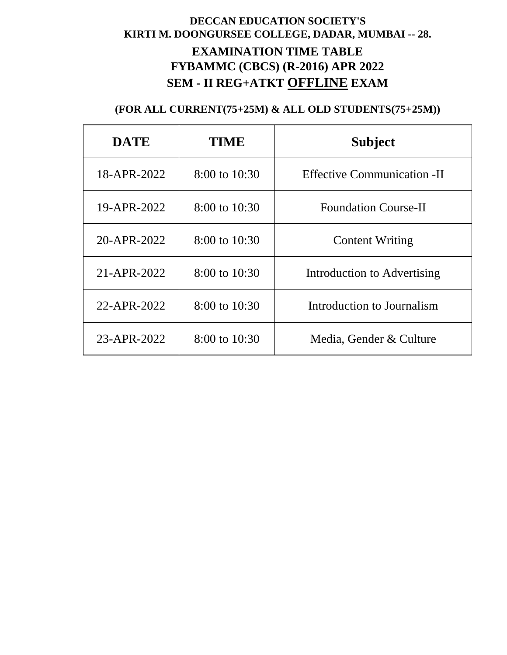# **DECCAN EDUCATION SOCIETY'S KIRTI M. DOONGURSEE COLLEGE, DADAR, MUMBAI -- 28. EXAMINATION TIME TABLE FYBAMMC (CBCS) (R-2016) APR 2022 SEM - II REG+ATKT OFFLINE EXAM**

| <b>DATE</b> | <b>TIME</b>       | <b>Subject</b>                     |
|-------------|-------------------|------------------------------------|
| 18-APR-2022 | $8:00$ to $10:30$ | <b>Effective Communication -II</b> |
| 19-APR-2022 | $8:00$ to $10:30$ | <b>Foundation Course-II</b>        |
| 20-APR-2022 | $8:00$ to $10:30$ | <b>Content Writing</b>             |
| 21-APR-2022 | $8:00$ to $10:30$ | Introduction to Advertising        |
| 22-APR-2022 | $8:00$ to $10:30$ | Introduction to Journalism         |
| 23-APR-2022 | $8:00$ to $10:30$ | Media, Gender & Culture            |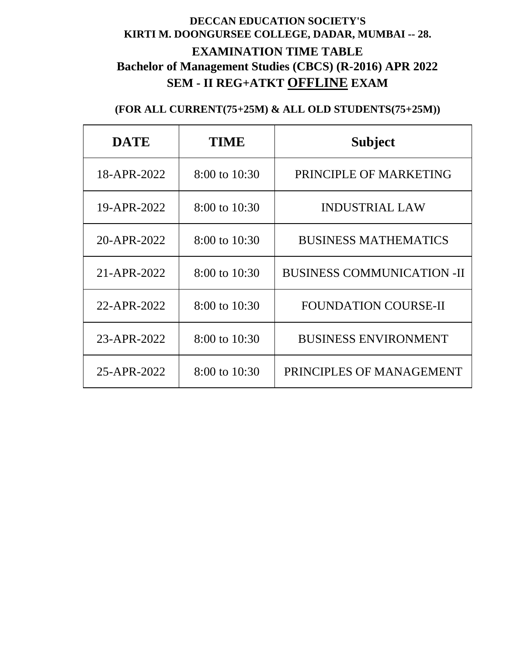# **DECCAN EDUCATION SOCIETY'S KIRTI M. DOONGURSEE COLLEGE, DADAR, MUMBAI -- 28. EXAMINATION TIME TABLE Bachelor of Management Studies (CBCS) (R-2016) APR 2022 SEM - II REG+ATKT OFFLINE EXAM**

| <b>DATE</b> | TIME              | <b>Subject</b>                    |
|-------------|-------------------|-----------------------------------|
| 18-APR-2022 | $8:00$ to $10:30$ | PRINCIPLE OF MARKETING            |
| 19-APR-2022 | 8:00 to 10:30     | <b>INDUSTRIAL LAW</b>             |
| 20-APR-2022 | $8:00$ to $10:30$ | <b>BUSINESS MATHEMATICS</b>       |
| 21-APR-2022 | 8:00 to 10:30     | <b>BUSINESS COMMUNICATION -II</b> |
| 22-APR-2022 | $8:00$ to $10:30$ | <b>FOUNDATION COURSE-II</b>       |
| 23-APR-2022 | 8:00 to 10:30     | <b>BUSINESS ENVIRONMENT</b>       |
| 25-APR-2022 | $8:00$ to $10:30$ | PRINCIPLES OF MANAGEMENT          |